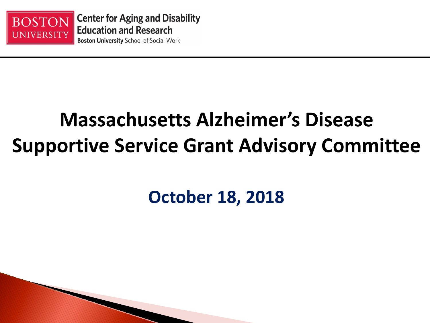

## **Massachusetts Alzheimer's Disease Supportive Service Grant Advisory Committee**

#### **October 18, 2018**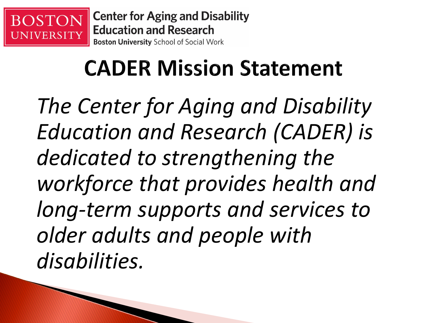

**Center for Aging and Disability Education and Research Boston University School of Social Work** 

# **CADER Mission Statement**

*The Center for Aging and Disability Education and Research (CADER) is dedicated to strengthening the workforce that provides health and long-term supports and services to older adults and people with disabilities.*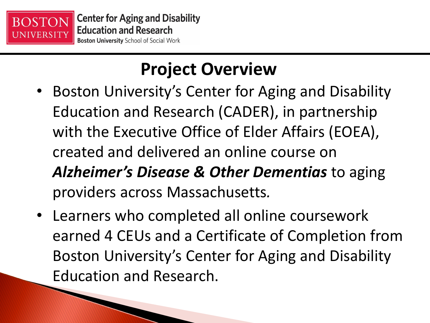

### **Project Overview**

- Boston University's Center for Aging and Disability Education and Research (CADER), in partnership with the Executive Office of Elder Affairs (EOEA), created and delivered an online course on *Alzheimer's Disease & Other Dementias* to aging providers across Massachusetts*.*
- Learners who completed all online coursework earned 4 CEUs and a Certificate of Completion from Boston University's Center for Aging and Disability Education and Research.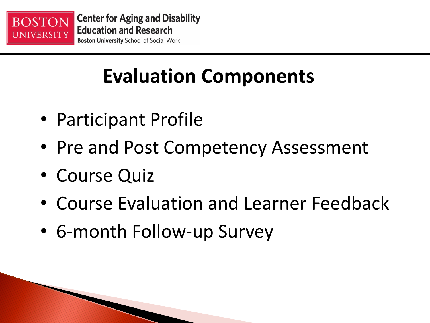

## **Evaluation Components**

- Participant Profile
- Pre and Post Competency Assessment
- Course Quiz
- Course Evaluation and Learner Feedback
- 6-month Follow-up Survey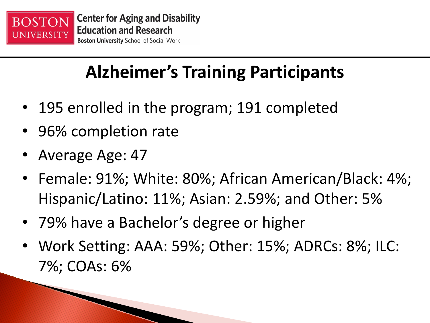

## **Alzheimer's Training Participants**

- 195 enrolled in the program; 191 completed
- 96% completion rate
- Average Age: 47
- Female: 91%; White: 80%; African American/Black: 4%; Hispanic/Latino: 11%; Asian: 2.59%; and Other: 5%
- 79% have a Bachelor's degree or higher
- Work Setting: AAA: 59%; Other: 15%; ADRCs: 8%; ILC: 7%; COAs: 6%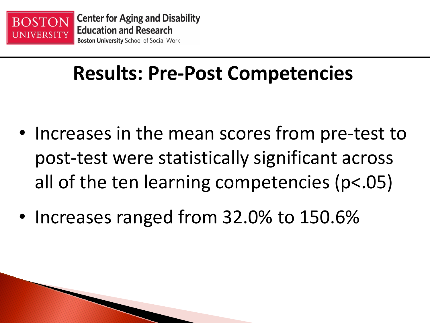

## **Results: Pre-Post Competencies**

- Increases in the mean scores from pre-test to post-test were statistically significant across all of the ten learning competencies (p<.05)
- Increases ranged from 32.0% to 150.6%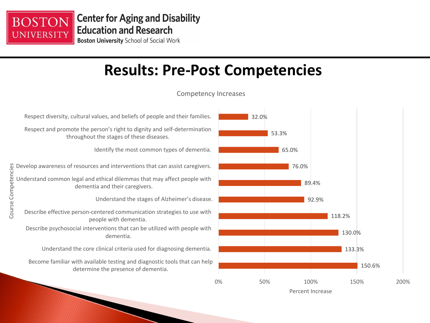

Course Competencies

Course Competencies

#### **Results: Pre-Post Competencies**



Percent Increase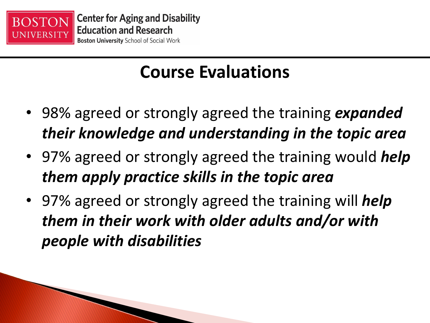

#### **Course Evaluations**

- 98% agreed or strongly agreed the training *expanded their knowledge and understanding in the topic area*
- 97% agreed or strongly agreed the training would *help them apply practice skills in the topic area*
- 97% agreed or strongly agreed the training will *help them in their work with older adults and/or with people with disabilities*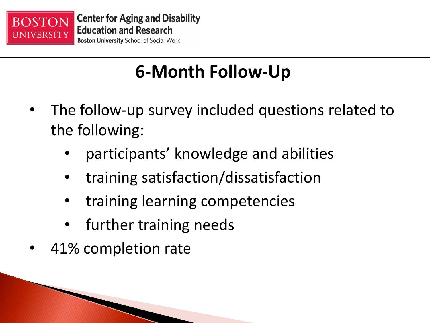

#### **6-Month Follow-Up**

- The follow-up survey included questions related to the following:
	- participants' knowledge and abilities
	- training satisfaction/dissatisfaction
	- training learning competencies
	- further training needs
- 41% completion rate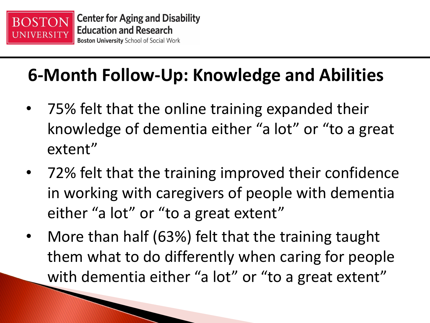

#### **6-Month Follow-Up: Knowledge and Abilities**

- 75% felt that the online training expanded their knowledge of dementia either "a lot" or "to a great extent"
- 72% felt that the training improved their confidence in working with caregivers of people with dementia either "a lot" or "to a great extent"
- More than half (63%) felt that the training taught them what to do differently when caring for people with dementia either "a lot" or "to a great extent"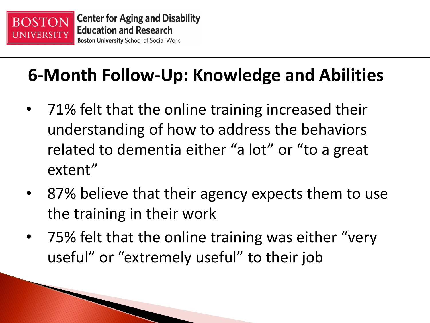

#### **6-Month Follow-Up: Knowledge and Abilities**

- 71% felt that the online training increased their understanding of how to address the behaviors related to dementia either "a lot" or "to a great extent"
- 87% believe that their agency expects them to use the training in their work
- 75% felt that the online training was either "very useful" or "extremely useful" to their job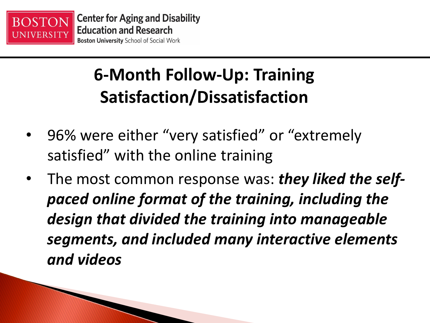

#### **6-Month Follow-Up: Training Satisfaction/Dissatisfaction**

- 96% were either "very satisfied" or "extremely satisfied" with the online training
- The most common response was: *they liked the selfpaced online format of the training, including the design that divided the training into manageable segments, and included many interactive elements and videos*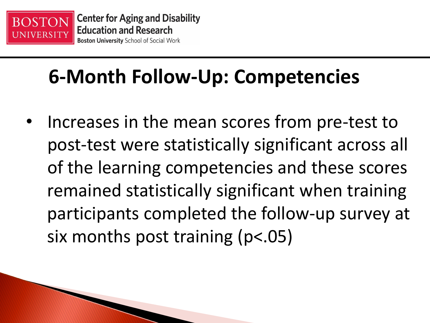

## **6-Month Follow-Up: Competencies**

Increases in the mean scores from pre-test to post-test were statistically significant across all of the learning competencies and these scores remained statistically significant when training participants completed the follow-up survey at six months post training (p<.05)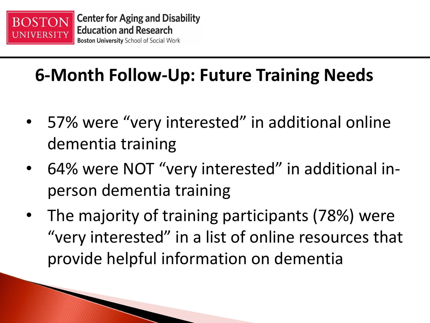

#### **6-Month Follow-Up: Future Training Needs**

- 57% were "very interested" in additional online dementia training
- 64% were NOT "very interested" in additional inperson dementia training
- The majority of training participants (78%) were "very interested" in a list of online resources that provide helpful information on dementia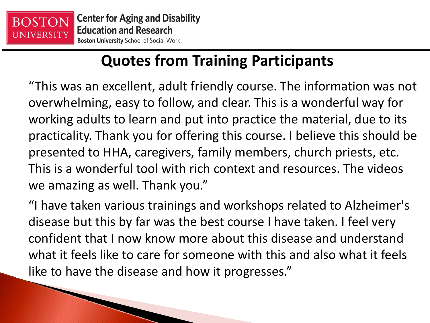

**The Communication of the Communication of the Communication of the Communication of the Communication** 

#### **Quotes from Training Participants**

"This was an excellent, adult friendly course. The information was not overwhelming, easy to follow, and clear. This is a wonderful way for working adults to learn and put into practice the material, due to its practicality. Thank you for offering this course. I believe this should be presented to HHA, caregivers, family members, church priests, etc. This is a wonderful tool with rich context and resources. The videos we amazing as well. Thank you."

"I have taken various trainings and workshops related to Alzheimer's disease but this by far was the best course I have taken. I feel very confident that I now know more about this disease and understand what it feels like to care for someone with this and also what it feels like to have the disease and how it progresses."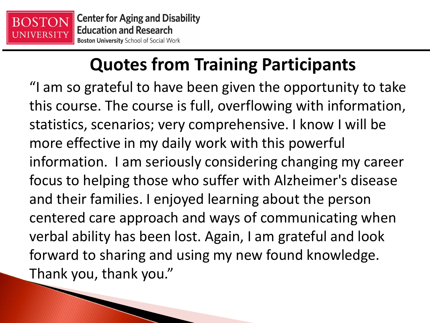

The Company of the Company of

#### **Quotes from Training Participants**

"I am so grateful to have been given the opportunity to take this course. The course is full, overflowing with information, statistics, scenarios; very comprehensive. I know I will be more effective in my daily work with this powerful information. I am seriously considering changing my career focus to helping those who suffer with Alzheimer's disease and their families. I enjoyed learning about the person centered care approach and ways of communicating when verbal ability has been lost. Again, I am grateful and look forward to sharing and using my new found knowledge. Thank you, thank you."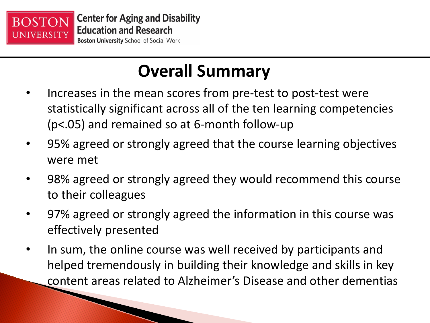

#### **Overall Summary**

- Increases in the mean scores from pre-test to post-test were statistically significant across all of the ten learning competencies (p<.05) and remained so at 6-month follow-up
- 95% agreed or strongly agreed that the course learning objectives were met
- 98% agreed or strongly agreed they would recommend this course to their colleagues
- 97% agreed or strongly agreed the information in this course was effectively presented
- In sum, the online course was well received by participants and helped tremendously in building their knowledge and skills in key content areas related to Alzheimer's Disease and other dementias